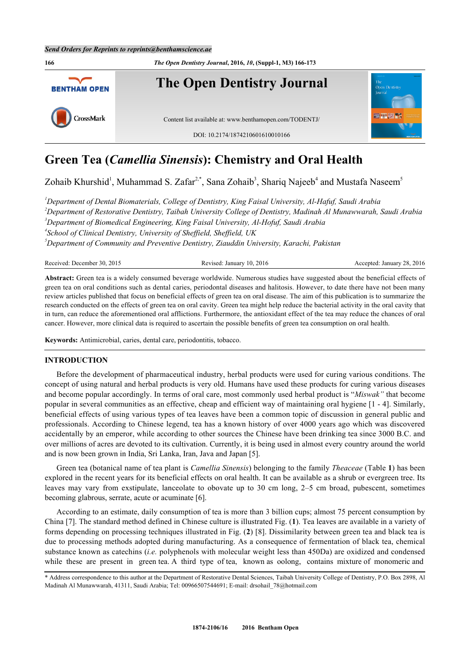

# **Green Tea (***Camellia Sinensis***): Chemistry and Oral Health**

Zohaib Khurshid<sup>[1](#page-0-0)</sup>, Muhammad S. Zafar<sup>[2,](#page-0-1)[\\*](#page-0-2)</sup>, Sana Zohaib<sup>[3](#page-0-3)</sup>, Shariq Najeeb<sup>[4](#page-0-4)</sup> and Mustafa Naseem<sup>[5](#page-0-5)</sup>

<span id="page-0-4"></span><span id="page-0-3"></span><span id="page-0-1"></span><span id="page-0-0"></span>*Department of Dental Biomaterials, College of Dentistry, King Faisal University, Al-Hafuf, Saudi Arabia Department of Restorative Dentistry, Taibah University College of Dentistry, Madinah Al Munawwarah, Saudi Arabia Department of Biomedical Engineering, King Faisal University, Al-Hofuf, Saudi Arabia School of Clinical Dentistry, University of Sheffield, Sheffield, UK Department of Community and Preventive Dentistry, Ziauddin University, Karachi, Pakistan*

<span id="page-0-5"></span>Received: December 30, 2015 Revised: January 10, 2016 Accepted: January 28, 2016

**Abstract:** Green tea is a widely consumed beverage worldwide. Numerous studies have suggested about the beneficial effects of green tea on oral conditions such as dental caries, periodontal diseases and halitosis. However, to date there have not been many review articles published that focus on beneficial effects of green tea on oral disease. The aim of this publication is to summarize the research conducted on the effects of green tea on oral cavity. Green tea might help reduce the bacterial activity in the oral cavity that in turn, can reduce the aforementioned oral afflictions. Furthermore, the antioxidant effect of the tea may reduce the chances of oral cancer. However, more clinical data is required to ascertain the possible benefits of green tea consumption on oral health.

**Keywords:** Antimicrobial, caries, dental care, periodontitis, tobacco.

# **INTRODUCTION**

Before the development of pharmaceutical industry, herbal products were used for curing various conditions. The concept of using natural and herbal products is very old. Humans have used these products for curing various diseases and become popular accordingly. In terms of oral care, most commonly used herbal product is "*Miswak"* that become popular in several communities as an effective, cheap and efficient way of maintaining oral hygiene [[1](#page-5-0) - [4\]](#page-5-1). Similarly, beneficial effects of using various types of tea leaves have been a common topic of discussion in general public and professionals. According to Chinese legend, tea has a known history of over 4000 years ago which was discovered accidentally by an emperor, while according to other sources the Chinese have been drinking tea since 3000 B.C. and over millions of acres are devoted to its cultivation. Currently, it is being used in almost every country around the world and is now been grown in India, Sri Lanka, Iran, Java and Japan [[5\]](#page-5-2).

Green tea (botanical name of tea plant is *Camellia Sinensis*) belonging to the family *Theaceae* (Table **[1](#page-1-0)**) has been explored in the recent years for its beneficial effects on oral health. It can be available as a shrub or evergreen tree. Its leaves may vary from exstipulate, lanceolate to obovate up to 30 cm long, 2–5 cm broad, pubescent, sometimes becoming glabrous, serrate, acute or acuminate [\[6](#page-5-3)].

According to an estimate, daily consumption of tea is more than 3 billion cups; almost 75 percent consumption by China [[7\]](#page-5-4). The standard method defined in Chinese culture is illustrated Fig. (**[1](#page-2-0)**). Tea leaves are available in a variety of forms depending on processing techniques illustrated in Fig. (**[2](#page-2-1)**) [[8](#page-5-5)]. Dissimilarity between green tea and black tea is due to processing methods adopted during manufacturing. As a consequence of fermentation of black tea, chemical substance known as catechins (*i.e.* polyphenols with molecular weight less than 450Da) are oxidized and condensed while these are present in green tea. A third type of tea, known as oolong, contains mixture of monomeric and

<span id="page-0-2"></span><sup>\*</sup> Address correspondence to this author at the Department of Restorative Dental Sciences, Taibah University College of Dentistry, P.O. Box 2898, Al Madinah Al Munawwarah, 41311, Saudi Arabia; Tel: 00966507544691; E-mail: [drsohail\\_78@hotmail.com](mailto:drsohail_78@hotmail.com)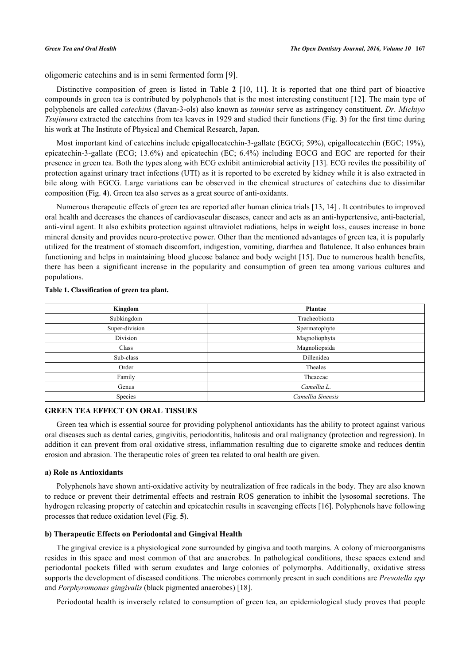oligomeric catechins and is in semi fermented form [\[9\]](#page-5-6).

Distinctive composition of green is listed in Table**2** [[10](#page-5-7), [11](#page-5-8)]. It is reported that one third part of bioactive compounds in green tea is contributed by polyphenols that is the most interesting constituent [[12](#page-5-9)]. The main type of polyphenols are called *catechins* (flavan-3-ols) also known as *tannins* serve as astringency constituent. *Dr. Michiyo Tsujimura* extracted the catechins from tea leaves in 1929 and studied their functions (Fig. **[3](#page-3-1)**) for the first time during his work at The Institute of Physical and Chemical Research, Japan.

Most important kind of catechins include epigallocatechin-3-gallate (EGCG; 59%), epigallocatechin (EGC; 19%), epicatechin-3-gallate (ECG; 13.6%) and epicatechin (EC; 6.4%) including EGCG and EGC are reported for their presence in green tea. Both the types along with ECG exhibit antimicrobial activity [[13\]](#page-5-10). ECG reviles the possibility of protection against urinary tract infections (UTI) as it is reported to be excreted by kidney while it is also extracted in bile along with EGCG. Large variations can be observed in the chemical structures of catechins due to dissimilar composition (Fig. **[4](#page-4-0)**). Green tea also serves as a great source of anti-oxidants.

Numerous therapeutic effects of green tea are reported after human clinica trials [\[13](#page-5-10), [14](#page-5-11)] . It contributes to improved oral health and decreases the chances of cardiovascular diseases, cancer and acts as an anti-hypertensive, anti-bacterial, anti-viral agent. It also exhibits protection against ultraviolet radiations, helps in weight loss, causes increase in bone mineral density and provides neuro-protective power. Other than the mentioned advantages of green tea, it is popularly utilized for the treatment of stomach discomfort, indigestion, vomiting, diarrhea and flatulence. It also enhances brain functioning and helps in maintaining blood glucose balance and body weight [\[15](#page-5-12)]. Due to numerous health benefits, there has been a significant increase in the popularity and consumption of green tea among various cultures and populations.

| Kingdom        | Plantae           |
|----------------|-------------------|
| Subkingdom     | Tracheobionta     |
| Super-division | Spermatophyte     |
| Division       | Magnoliophyta     |
| Class          | Magnoliopsida     |
| Sub-class      | Dillenidea        |
| Order          | Theales           |
| Family         | Theaceae          |
| Genus          | Camellia L.       |
| Species        | Camellia Sinensis |

### <span id="page-1-0"></span>**Table 1. Classification of green tea plant.**

## **GREEN TEA EFFECT ON ORAL TISSUES**

Green tea which is essential source for providing polyphenol antioxidants has the ability to protect against various oral diseases such as dental caries, gingivitis, periodontitis, halitosis and oral malignancy (protection and regression). In addition it can prevent from oral oxidative stress, inflammation resulting due to cigarette smoke and reduces dentin erosion and abrasion. The therapeutic roles of green tea related to oral health are given.

# **a) Role as Antioxidants**

Polyphenols have shown anti-oxidative activity by neutralization of free radicals in the body. They are also known to reduce or prevent their detrimental effects and restrain ROS generation to inhibit the lysosomal secretions. The hydrogen releasing property of catechin and epicatechin results in scavenging effects [[16\]](#page-5-13). Polyphenols have following processes that reduce oxidation level (Fig. **[5](#page-4-1)**).

# **b) Therapeutic Effects on Periodontal and Gingival Health**

The gingival crevice is a physiological zone surrounded by gingiva and tooth margins. A colony of microorganisms resides in this space and most common of that are anaerobes. In pathological conditions, these spaces extend and periodontal pockets filled with serum exudates and large colonies of polymorphs. Additionally, oxidative stress supports the development of diseased conditions. The microbes commonly present in such conditions are *Prevotella spp* and *Porphyromonas gingivalis* (black pigmented anaerobes) [[18\]](#page-6-0).

Periodontal health is inversely related to consumption of green tea, an epidemiological study proves that people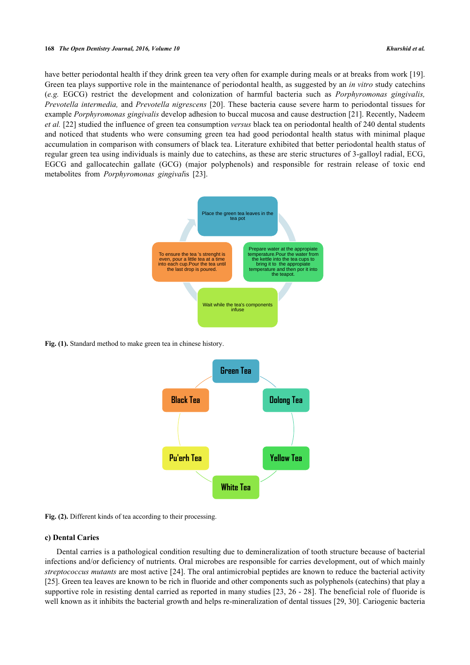### **168** *The Open Dentistry Journal, 2016, Volume 10 Khurshid et al.*

<span id="page-2-0"></span>have better periodontal health if they drink green tea very often for example during meals or at breaks from work [[19\]](#page-6-1). Green tea plays supportive role in the maintenance of periodontal health, as suggested by an *in vitro* study catechins (*e.g.* EGCG) restrict the development and colonization of harmful bacteria such as *Porphyromonas gingivalis, Prevotella intermedia,* and *Prevotella nigrescens* [[20](#page-6-2)]. These bacteria cause severe harm to periodontal tissues for example *Porphyromonas gingivalis* develop adhesion to buccal mucosa and cause destruction [[21](#page-6-3)]. Recently, Nadeem *et al.* [\[22](#page-6-4)] studied the influence of green tea consumption *versus* black tea on periodontal health of 240 dental students and noticed that students who were consuming green tea had good periodontal health status with minimal plaque accumulation in comparison with consumers of black tea. Literature exhibited that better periodontal health status of regular green tea using individuals is mainly due to catechins, as these are steric structures of 3-galloyl radial, ECG, EGCG and gallocatechin gallate (GCG) (major polyphenols) and responsible for restrain release of toxic end metabolites from *Porphyromonas gingival*is [\[23](#page-6-5)].



<span id="page-2-1"></span>**Fig. (1).** Standard method to make green tea in chinese history.



**Fig. (2).** Different kinds of tea according to their processing.

# **c) Dental Caries**

Dental carries is a pathological condition resulting due to demineralization of tooth structure because of bacterial infections and/or deficiency of nutrients. Oral microbes are responsible for carries development, out of which mainly *streptococcus mutants* are most active [[24\]](#page-6-6). The oral antimicrobial peptides are known to reduce the bacterial activity [\[25](#page-6-7)]. Green tea leaves are known to be rich in fluoride and other components such as polyphenols (catechins) that play a supportive role in resisting dental carried as reported in many studies [[23,](#page-6-5) [26](#page-6-8) - [28\]](#page-6-9). The beneficial role of fluoride is well known as it inhibits the bacterial growth and helps re-mineralization of dental tissues [\[29](#page-6-10), [30](#page-6-11)]. Cariogenic bacteria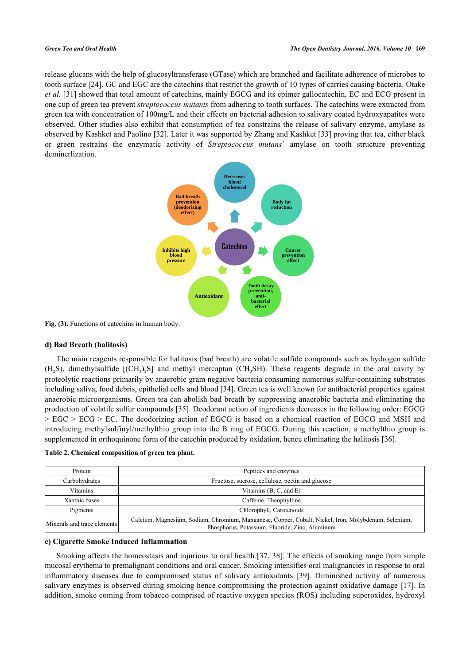<span id="page-3-1"></span>release glucans with the help of glucosyltransferase (GTase) which are branched and facilitate adherence of microbes to tooth surface [\[24](#page-6-6)]. GC and EGC are the catechins that restrict the growth of 10 types of carries causing bacteria. Otake *et al.* [[31\]](#page-6-12) showed that total amount of catechins, mainly EGCG and its epimer gallocatechin, EC and ECG present in one cup of green tea prevent *streptococcus mutants* from adhering to tooth surfaces. The catechins were extracted from green tea with concentration of 100mg/L and their effects on bacterial adhesion to salivary coated hydroxyapatites were observed. Other studies also exhibit that consumption of tea constrains the release of salivary enzyme, amylase as observed by Kashket and Paolino [[32](#page-6-13)]. Later it was supported by Zhang and Kashket [\[33\]](#page-6-14) proving that tea, either black or green restrains the enzymatic activity of *Streptococcus mutans*' amylase on tooth structure preventing deminerlization.



Fig. (3). Functions of catechins in human body.

# **d) Bad Breath (halitosis)**

The main reagents responsible for halitosis (bad breath) are volatile sulfide compounds such as hydrogen sulfide  $(H_2S)$ , dimethylsulfide  $[(CH_3)_2S]$  and methyl mercaptan (CH<sub>3</sub>SH). These reagents degrade in the oral cavity by proteolytic reactions primarily by anaerobic gram negative bacteria consuming numerous sulfur-containing substrates including saliva, food debris, epithelial cells and blood [[34\]](#page-6-15). Green tea is well known for antibacterial properties against anaerobic microorganisms. Green tea can abolish bad breath by suppressing anaerobic bacteria and eliminating the production of volatile sulfur compounds [[35\]](#page-6-16). Deodorant action of ingredients decreases in the following order: EGCG > EGC > ECG > EC. The deodorizing action of EGCG is based on a chemical reaction of EGCG and MSH and introducing methylsulfinyl/methylthio group into the B ring of EGCG. During this reaction, a methylthio group is supplemented in orthoquinone form of the catechin produced by oxidation, hence eliminating the halitosis [[36\]](#page-6-17).

<span id="page-3-0"></span>

|  |  | Table 2. Chemical composition of green tea plant. |
|--|--|---------------------------------------------------|
|--|--|---------------------------------------------------|

| Protein                     | Peptides and enzymes                                                                                                                                    |  |
|-----------------------------|---------------------------------------------------------------------------------------------------------------------------------------------------------|--|
| Carbohydrates               | Fructose, sucrose, cellulose, pectin and glucose                                                                                                        |  |
| <b>Vitamins</b>             | Vitamins $(B, C, and E)$                                                                                                                                |  |
| Xanthic bases               | Caffeine, Theophylline                                                                                                                                  |  |
| Pigments                    | Chlorophyll, Carotenoids                                                                                                                                |  |
| Minerals and trace elements | Calcium, Magnesium, Sodium, Chromium, Manganese, Copper, Cobalt, Nickel, Iron, Molybdenum, Selenium,<br>Phosphorus, Potassium, Fluoride, Zinc, Aluminum |  |

# **e) Cigarette Smoke Induced Inflammation**

Smoking affects the homeostasis and injurious to oral health [[37](#page-6-18), [38\]](#page-6-19). The effects of smoking range from simple mucosal erythema to premalignant conditions and oral cancer. Smoking intensifies oral malignancies in response to oral inflammatory diseases due to compromised status of salivary antioxidants[[39](#page-6-20)]. Diminished activity of numerous salivary enzymes is observed during smoking hence compromising the protection against oxidative damage [[17\]](#page-6-21). In addition, smoke coming from tobacco comprised of reactive oxygen species (ROS) including superoxides, hydroxyl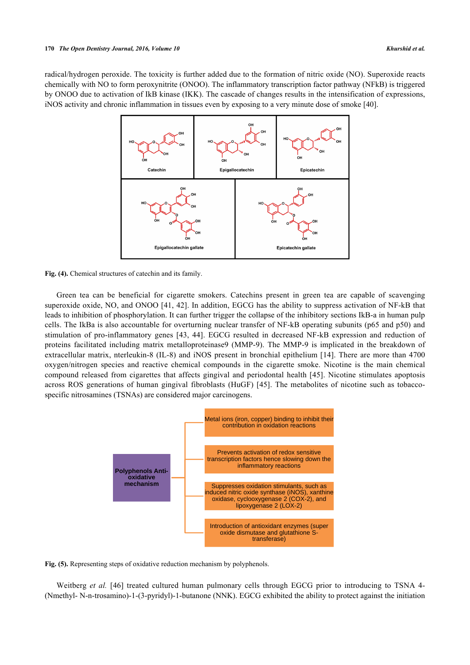<span id="page-4-0"></span>radical/hydrogen peroxide. The toxicity is further added due to the formation of nitric oxide (NO). Superoxide reacts chemically with NO to form peroxynitrite (ONOO). The inflammatory transcription factor pathway (NFkB) is triggered by ONOO due to activation of IkB kinase (IKK). The cascade of changes results in the intensification of expressions, iNOS activity and chronic inflammation in tissues even by exposing to a very minute dose of smoke [[40\]](#page-7-0).



Fig. (4). Chemical structures of catechin and its family.

Green tea can be beneficial for cigarette smokers. Catechins present in green tea are capable of scavenging superoxide oxide, NO, and ONOO [[41,](#page-7-1) [42\]](#page-7-2). In addition, EGCG has the ability to suppress activation of NF-kB that leads to inhibition of phosphorylation. It can further trigger the collapse of the inhibitory sections IkB-a in human pulp cells. The IkBa is also accountable for overturning nuclear transfer of NF-kB operating subunits (p65 and p50) and stimulation of pro-inflammatory genes[[43](#page-7-3), [44\]](#page-7-4). EGCG resulted in decreased NF-kB expression and reduction of proteins facilitated including matrix metalloproteinase9 (MMP-9). The MMP-9 is implicated in the breakdown of extracellular matrix, nterleukin-8 (IL-8) and iNOS present in bronchial epithelium [\[14\]](#page-5-11). There are more than 4700 oxygen/nitrogen species and reactive chemical compounds in the cigarette smoke. Nicotine is the main chemical compound released from cigarettes that affects gingival and periodontal health [[45](#page-7-5)]. Nicotine stimulates apoptosis across ROS generations of human gingival fibroblasts (HuGF) [[45\]](#page-7-5). The metabolites of nicotine such as tobaccospecific nitrosamines (TSNAs) are considered major carcinogens.

<span id="page-4-1"></span>

**Fig. (5).** Representing steps of oxidative reduction mechanism by polyphenols.

Weitberg *et al.* [\[46](#page-7-6)] treated cultured human pulmonary cells through EGCG prior to introducing to TSNA 4-(Nmethyl- N-n-trosamino)-1-(3-pyridyl)-1-butanone (NNK). EGCG exhibited the ability to protect against the initiation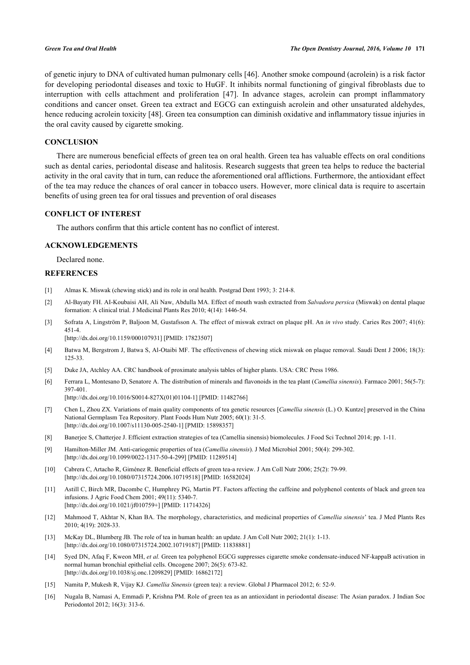of genetic injury to DNA of cultivated human pulmonary cells [[46\]](#page-7-6). Another smoke compound (acrolein) is a risk factor for developing periodontal diseases and toxic to HuGF. It inhibits normal functioning of gingival fibroblasts due to interruption with cells attachment and proliferation[[47](#page-7-7)]. In advance stages, acrolein can prompt inflammatory conditions and cancer onset. Green tea extract and EGCG can extinguish acrolein and other unsaturated aldehydes, hence reducing acrolein toxicity [\[48](#page-7-8)]. Green tea consumption can diminish oxidative and inflammatory tissue injuries in the oral cavity caused by cigarette smoking.

# **CONCLUSION**

There are numerous beneficial effects of green tea on oral health. Green tea has valuable effects on oral conditions such as dental caries, periodontal disease and halitosis. Research suggests that green tea helps to reduce the bacterial activity in the oral cavity that in turn, can reduce the aforementioned oral afflictions. Furthermore, the antioxidant effect of the tea may reduce the chances of oral cancer in tobacco users. However, more clinical data is require to ascertain benefits of using green tea for oral tissues and prevention of oral diseases

# **CONFLICT OF INTEREST**

The authors confirm that this article content has no conflict of interest.

# **ACKNOWLEDGEMENTS**

Declared none.

# **REFERENCES**

- <span id="page-5-0"></span>[1] Almas K. Miswak (chewing stick) and its role in oral health. Postgrad Dent 1993; 3: 214-8.
- [2] Al-Bayaty FH. AI-Koubaisi AH, Ali Naw, Abdulla MA. Effect of mouth wash extracted from *Salvadora persica* (Miswak) on dental plaque formation: A clinical trial. J Medicinal Plants Res 2010; 4(14): 1446-54.
- [3] Sofrata A, Lingström P, Baljoon M, Gustafsson A. The effect of miswak extract on plaque pH. An *in vivo* study. Caries Res 2007; 41(6): 451-4.

[\[http://dx.doi.org/10.1159/000107931\]](http://dx.doi.org/10.1159/000107931) [PMID: [17823507](http://www.ncbi.nlm.nih.gov/pubmed/17823507)]

- <span id="page-5-1"></span>[4] Batwa M, Bergstrom J, Batwa S, Al-Otaibi MF. The effectiveness of chewing stick miswak on plaque removal. Saudi Dent J 2006; 18(3): 125-33.
- <span id="page-5-2"></span>[5] Duke JA, Atchley AA. CRC handbook of proximate analysis tables of higher plants. USA: CRC Press 1986.
- <span id="page-5-3"></span>[6] Ferrara L, Montesano D, Senatore A. The distribution of minerals and flavonoids in the tea plant (*Camellia sinensis*). Farmaco 2001; 56(5-7): 397-401. [\[http://dx.doi.org/10.1016/S0014-827X\(01\)01104-1\]](http://dx.doi.org/10.1016/S0014-827X(01)01104-1) [PMID: [11482766](http://www.ncbi.nlm.nih.gov/pubmed/11482766)]
- <span id="page-5-4"></span>[7] Chen L, Zhou ZX. Variations of main quality components of tea genetic resources [*Camellia sinensis* (L.) O. Kuntze] preserved in the China National Germplasm Tea Repository. Plant Foods Hum Nutr 2005; 60(1): 31-5. [\[http://dx.doi.org/10.1007/s11130-005-2540-1\]](http://dx.doi.org/10.1007/s11130-005-2540-1) [PMID: [15898357](http://www.ncbi.nlm.nih.gov/pubmed/15898357)]
- <span id="page-5-5"></span>[8] Banerjee S, Chatterjee J. Efficient extraction strategies of tea (Camellia sinensis) biomolecules. J Food Sci Technol 2014; pp. 1-11.
- <span id="page-5-6"></span>[9] Hamilton-Miller JM. Anti-cariogenic properties of tea (*Camellia sinensis*). J Med Microbiol 2001; 50(4): 299-302. [\[http://dx.doi.org/10.1099/0022-1317-50-4-299](http://dx.doi.org/10.1099/0022-1317-50-4-299)] [PMID: [11289514](http://www.ncbi.nlm.nih.gov/pubmed/11289514)]
- <span id="page-5-7"></span>[10] Cabrera C, Artacho R, Giménez R. Beneficial effects of green tea-a review. J Am Coll Nutr 2006; 25(2): 79-99. [\[http://dx.doi.org/10.1080/07315724.2006.10719518\]](http://dx.doi.org/10.1080/07315724.2006.10719518) [PMID: [16582024](http://www.ncbi.nlm.nih.gov/pubmed/16582024)]
- <span id="page-5-8"></span>[11] Astill C, Birch MR, Dacombe C, Humphrey PG, Martin PT. Factors affecting the caffeine and polyphenol contents of black and green tea infusions. J Agric Food Chem 2001; 49(11): 5340-7. [\[http://dx.doi.org/10.1021/jf010759+](http://dx.doi.org/10.1021/jf010759+)] [PMID: [11714326\]](http://www.ncbi.nlm.nih.gov/pubmed/11714326)
- <span id="page-5-9"></span>[12] Mahmood T, Akhtar N, Khan BA. The morphology, characteristics, and medicinal properties of *Camellia sinensis*' tea. J Med Plants Res 2010; 4(19): 2028-33.
- <span id="page-5-10"></span>[13] McKay DL, Blumberg JB. The role of tea in human health: an update. J Am Coll Nutr 2002; 21(1): 1-13. [\[http://dx.doi.org/10.1080/07315724.2002.10719187\]](http://dx.doi.org/10.1080/07315724.2002.10719187) [PMID: [11838881](http://www.ncbi.nlm.nih.gov/pubmed/11838881)]
- <span id="page-5-11"></span>[14] Syed DN, Afaq F, Kweon MH, *et al.* Green tea polyphenol EGCG suppresses cigarette smoke condensate-induced NF-kappaB activation in normal human bronchial epithelial cells. Oncogene 2007; 26(5): 673-82. [\[http://dx.doi.org/10.1038/sj.onc.1209829\]](http://dx.doi.org/10.1038/sj.onc.1209829) [PMID: [16862172](http://www.ncbi.nlm.nih.gov/pubmed/16862172)]
- <span id="page-5-12"></span>[15] Namita P, Mukesh R, Vijay KJ. *Camellia Sinensis* (green tea): a review. Global J Pharmacol 2012; 6: 52-9.
- <span id="page-5-13"></span>[16] Nugala B, Namasi A, Emmadi P, Krishna PM. Role of green tea as an antioxidant in periodontal disease: The Asian paradox. J Indian Soc Periodontol 2012; 16(3): 313-6.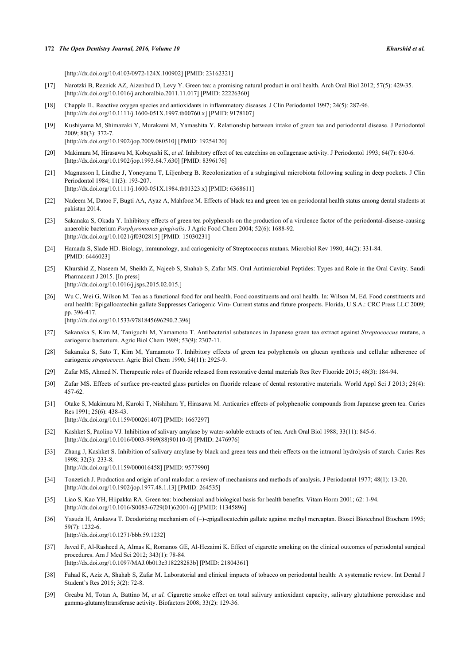### **172** *The Open Dentistry Journal, 2016, Volume 10 Khurshid et al.*

[\[http://dx.doi.org/10.4103/0972-124X.100902](http://dx.doi.org/10.4103/0972-124X.100902)] [PMID: [23162321\]](http://www.ncbi.nlm.nih.gov/pubmed/23162321)

- <span id="page-6-21"></span>[17] Narotzki B, Reznick AZ, Aizenbud D, Levy Y. Green tea: a promising natural product in oral health. Arch Oral Biol 2012; 57(5): 429-35. [\[http://dx.doi.org/10.1016/j.archoralbio.2011.11.017](http://dx.doi.org/10.1016/j.archoralbio.2011.11.017)] [PMID: [22226360](http://www.ncbi.nlm.nih.gov/pubmed/22226360)]
- <span id="page-6-0"></span>[18] Chapple IL. Reactive oxygen species and antioxidants in inflammatory diseases. J Clin Periodontol 1997; 24(5): 287-96. [\[http://dx.doi.org/10.1111/j.1600-051X.1997.tb00760.x\]](http://dx.doi.org/10.1111/j.1600-051X.1997.tb00760.x) [PMID: [9178107](http://www.ncbi.nlm.nih.gov/pubmed/9178107)]
- <span id="page-6-1"></span>[19] Kushiyama M, Shimazaki Y, Murakami M, Yamashita Y. Relationship between intake of green tea and periodontal disease. J Periodontol 2009; 80(3): 372-7. [\[http://dx.doi.org/10.1902/jop.2009.080510](http://dx.doi.org/10.1902/jop.2009.080510)] [PMID: [19254120\]](http://www.ncbi.nlm.nih.gov/pubmed/19254120)
- <span id="page-6-2"></span>[20] Makimura M, Hirasawa M, Kobayashi K, *et al.* Inhibitory effect of tea catechins on collagenase activity. J Periodontol 1993; 64(7): 630-6. [\[http://dx.doi.org/10.1902/jop.1993.64.7.630](http://dx.doi.org/10.1902/jop.1993.64.7.630)] [PMID: [8396176\]](http://www.ncbi.nlm.nih.gov/pubmed/8396176)
- <span id="page-6-3"></span>[21] Magnusson I, Lindhe J, Yoneyama T, Liljenberg B. Recolonization of a subgingival microbiota following scaling in deep pockets. J Clin Periodontol 1984; 11(3): 193-207. [\[http://dx.doi.org/10.1111/j.1600-051X.1984.tb01323.x\]](http://dx.doi.org/10.1111/j.1600-051X.1984.tb01323.x) [PMID: [6368611](http://www.ncbi.nlm.nih.gov/pubmed/6368611)]
- <span id="page-6-4"></span>[22] Nadeem M, Datoo F, Bugti AA, Ayaz A, Mahfooz M. Effects of black tea and green tea on periodontal health status among dental students at pakistan 2014.
- <span id="page-6-5"></span>[23] Sakanaka S, Okada Y. Inhibitory effects of green tea polyphenols on the production of a virulence factor of the periodontal-disease-causing anaerobic bacterium *Porphyromonas gingivalis*. J Agric Food Chem 2004; 52(6): 1688-92. [\[http://dx.doi.org/10.1021/jf0302815\]](http://dx.doi.org/10.1021/jf0302815) [PMID: [15030231](http://www.ncbi.nlm.nih.gov/pubmed/15030231)]
- <span id="page-6-6"></span>[24] Hamada S, Slade HD. Biology, immunology, and cariogenicity of Streptococcus mutans. Microbiol Rev 1980; 44(2): 331-84. [PMID: [6446023\]](http://www.ncbi.nlm.nih.gov/pubmed/6446023)
- <span id="page-6-7"></span>[25] Khurshid Z, Naseem M, Sheikh Z, Najeeb S, Shahab S, Zafar MS. Oral Antimicrobial Peptides: Types and Role in the Oral Cavity. Saudi Pharmaceut J 2015. [In press] [\[http://dx.doi.org/10.1016/j.jsps.2015.02.015.](http://dx.doi.org/10.1016/j.jsps.2015.02.015.)]
- <span id="page-6-8"></span>[26] Wu C, Wei G, Wilson M. Tea as a functional food for oral health. Food constituents and oral health. In: Wilson M, Ed. Food constituents and oral health: Epigallocatechin gallate Suppresses Cariogenic Viru- Current status and future prospects. Florida, U.S.A.: CRC Press LLC 2009; pp. 396-417. [\[http://dx.doi.org/10.1533/9781845696290.2.396\]](http://dx.doi.org/10.1533/9781845696290.2.396)
- [27] Sakanaka S, Kim M, Taniguchi M, Yamamoto T. Antibacterial substances in Japanese green tea extract against *Streptococcus* mutans, a cariogenic bacterium. Agric Biol Chem 1989; 53(9): 2307-11.
- <span id="page-6-9"></span>[28] Sakanaka S, Sato T, Kim M, Yamamoto T. Inhibitory effects of green tea polyphenols on glucan synthesis and cellular adherence of cariogenic *streptococci*. Agric Biol Chem 1990; 54(11): 2925-9.
- <span id="page-6-10"></span>[29] Zafar MS, Ahmed N. Therapeutic roles of fluoride released from restorative dental materials Res Rev Fluoride 2015; 48(3): 184-94.
- <span id="page-6-11"></span>[30] Zafar MS. Effects of surface pre-reacted glass particles on fluoride release of dental restorative materials. World Appl Sci J 2013; 28(4): 457-62.
- <span id="page-6-12"></span>[31] Otake S, Makimura M, Kuroki T, Nishihara Y, Hirasawa M. Anticaries effects of polyphenolic compounds from Japanese green tea. Caries Res 1991; 25(6): 438-43. [\[http://dx.doi.org/10.1159/000261407\]](http://dx.doi.org/10.1159/000261407) [PMID: [1667297](http://www.ncbi.nlm.nih.gov/pubmed/1667297)]
- <span id="page-6-13"></span>[32] Kashket S, Paolino VJ. Inhibition of salivary amylase by water-soluble extracts of tea. Arch Oral Biol 1988; 33(11): 845-6. [\[http://dx.doi.org/10.1016/0003-9969\(88\)90110-0](http://dx.doi.org/10.1016/0003-9969(88)90110-0)] [PMID: [2476976](http://www.ncbi.nlm.nih.gov/pubmed/2476976)]
- <span id="page-6-14"></span>[33] Zhang J, Kashket S. Inhibition of salivary amylase by black and green teas and their effects on the intraoral hydrolysis of starch. Caries Res 1998; 32(3): 233-8. [\[http://dx.doi.org/10.1159/000016458\]](http://dx.doi.org/10.1159/000016458) [PMID: [9577990](http://www.ncbi.nlm.nih.gov/pubmed/9577990)]
- <span id="page-6-15"></span>[34] Tonzetich J. Production and origin of oral malodor: a review of mechanisms and methods of analysis. J Periodontol 1977; 48(1): 13-20. [\[http://dx.doi.org/10.1902/jop.1977.48.1.13](http://dx.doi.org/10.1902/jop.1977.48.1.13)] [PMID: [264535\]](http://www.ncbi.nlm.nih.gov/pubmed/264535)
- <span id="page-6-16"></span>[35] Liao S, Kao YH, Hiipakka RA. Green tea: biochemical and biological basis for health benefits. Vitam Horm 2001; 62: 1-94. [\[http://dx.doi.org/10.1016/S0083-6729\(01\)62001-6\]](http://dx.doi.org/10.1016/S0083-6729(01)62001-6) [PMID: [11345896](http://www.ncbi.nlm.nih.gov/pubmed/11345896)]
- <span id="page-6-17"></span>[36] Yasuda H, Arakawa T. Deodorizing mechanism of (–)-epigallocatechin gallate against methyl mercaptan. Biosci Biotechnol Biochem 1995; 59(7): 1232-6. [\[http://dx.doi.org/10.1271/bbb.59.1232\]](http://dx.doi.org/10.1271/bbb.59.1232)
- <span id="page-6-18"></span>[37] Javed F, Al-Rasheed A, Almas K, Romanos GE, Al-Hezaimi K. Effect of cigarette smoking on the clinical outcomes of periodontal surgical procedures. Am J Med Sci 2012; 343(1): 78-84. [\[http://dx.doi.org/10.1097/MAJ.0b013e318228283b](http://dx.doi.org/10.1097/MAJ.0b013e318228283b)] [PMID: [21804361\]](http://www.ncbi.nlm.nih.gov/pubmed/21804361)
- <span id="page-6-19"></span>[38] Fahad K, Aziz A, Shahab S, Zafar M. Laboratorial and clinical impacts of tobacco on periodontal health: A systematic review. Int Dental J Student's Res 2015; 3(2): 72-8.
- <span id="page-6-20"></span>[39] Greabu M, Totan A, Battino M, et al. Cigarette smoke effect on total salivary antioxidant capacity, salivary glutathione peroxidase and gamma-glutamyltransferase activity. Biofactors 2008; 33(2): 129-36.